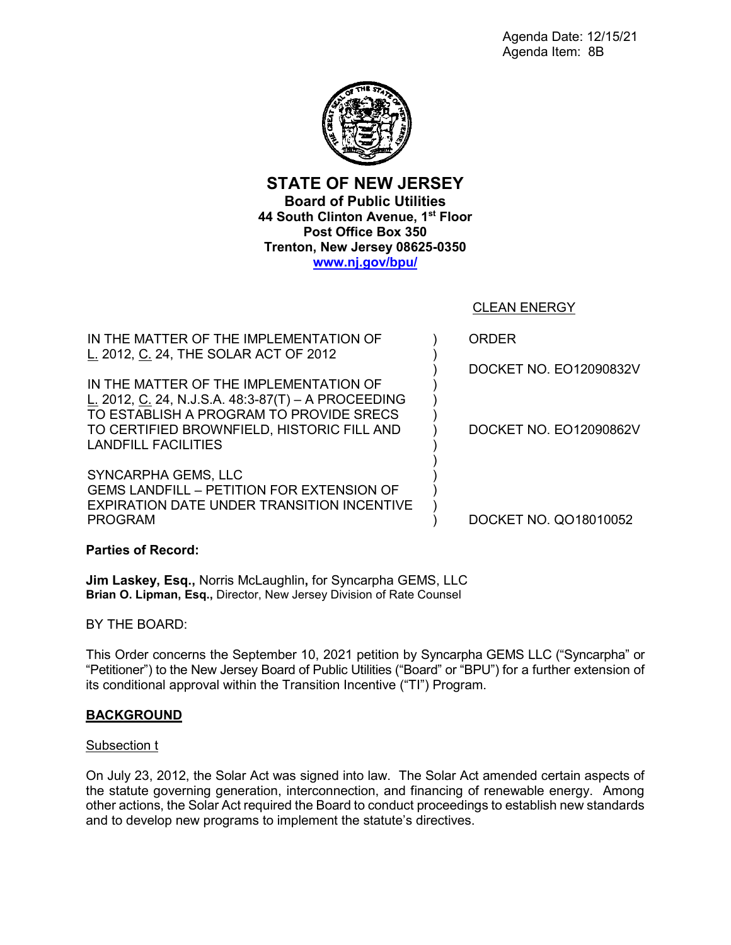

**STATE OF NEW JERSEY Board of Public Utilities 44 South Clinton Avenue, 1st Floor Post Office Box 350 Trenton, New Jersey 08625-0350 [www.nj.gov/bpu/](http://www.nj.gov/bpu/)**

CLEAN ENERGY

IN THE MATTER OF THE IMPLEMENTATION OF L. 2012, C. 24, THE SOLAR ACT OF 2012

IN THE MATTER OF THE IMPLEMENTATION OF L. 2012, C. 24, N.J.S.A. 48:3-87(T) – A PROCEEDING TO ESTABLISH A PROGRAM TO PROVIDE SRECS TO CERTIFIED BROWNFIELD, HISTORIC FILL AND LANDFILL FACILITIES

SYNCARPHA GEMS, LLC GEMS LANDFILL – PETITION FOR EXTENSION OF EXPIRATION DATE UNDER TRANSITION INCENTIVE PROGRAM

ORDER

) ) ) ) ) ) ) ) ) ) ) ) )

DOCKET NO. EO12090832V

DOCKET NO. EO12090862V

DOCKET NO. QO18010052

**Parties of Record:**

**Jim Laskey, Esq.,** Norris McLaughlin**,** for Syncarpha GEMS, LLC **Brian O. Lipman, Esq.,** Director, New Jersey Division of Rate Counsel

BY THE BOARD:

This Order concerns the September 10, 2021 petition by Syncarpha GEMS LLC ("Syncarpha" or "Petitioner") to the New Jersey Board of Public Utilities ("Board" or "BPU") for a further extension of its conditional approval within the Transition Incentive ("TI") Program.

# **BACKGROUND**

# Subsection t

On July 23, 2012, the Solar Act was signed into law. The Solar Act amended certain aspects of the statute governing generation, interconnection, and financing of renewable energy. Among other actions, the Solar Act required the Board to conduct proceedings to establish new standards and to develop new programs to implement the statute's directives.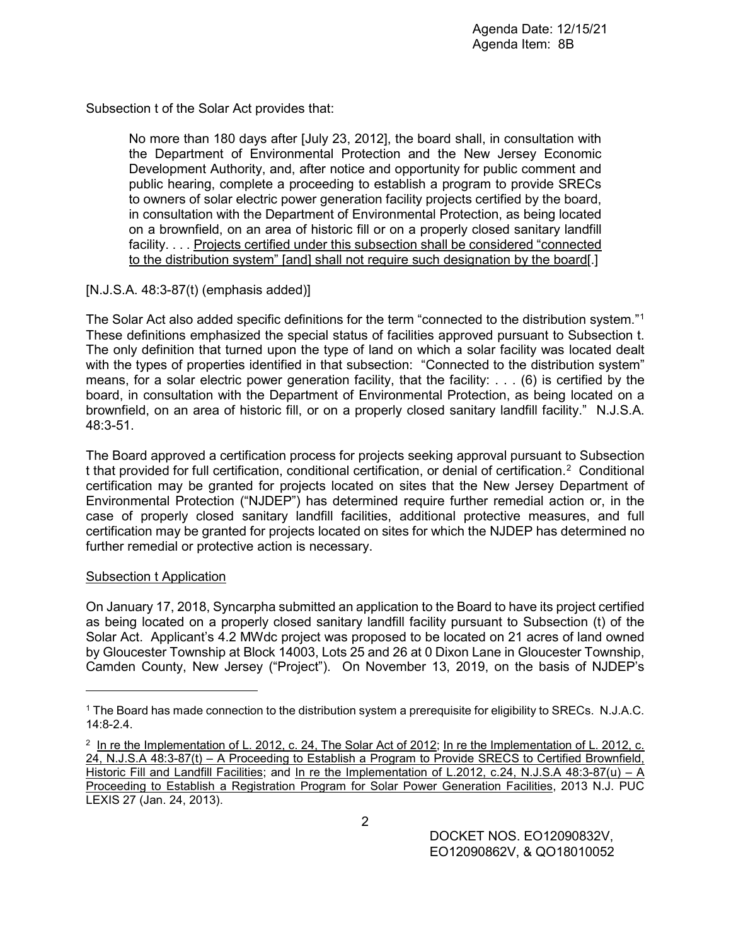Subsection t of the Solar Act provides that:

No more than 180 days after [July 23, 2012], the board shall, in consultation with the Department of Environmental Protection and the New Jersey Economic Development Authority, and, after notice and opportunity for public comment and public hearing, complete a proceeding to establish a program to provide SRECs to owners of solar electric power generation facility projects certified by the board, in consultation with the Department of Environmental Protection, as being located on a brownfield, on an area of historic fill or on a properly closed sanitary landfill facility. . . . Projects certified under this subsection shall be considered "connected to the distribution system" [and] shall not require such designation by the board[.]

# [N.J.S.A. 48:3-87(t) (emphasis added)]

The Solar Act also added specific definitions for the term "connected to the distribution system."[1](#page-1-0) These definitions emphasized the special status of facilities approved pursuant to Subsection t. The only definition that turned upon the type of land on which a solar facility was located dealt with the types of properties identified in that subsection: "Connected to the distribution system" means, for a solar electric power generation facility, that the facility: . . . (6) is certified by the board, in consultation with the Department of Environmental Protection, as being located on a brownfield, on an area of historic fill, or on a properly closed sanitary landfill facility." N.J.S.A. 48:3-51.

The Board approved a certification process for projects seeking approval pursuant to Subsection t that provided for full certification, conditional certification, or denial of certification.[2](#page-1-1) Conditional certification may be granted for projects located on sites that the New Jersey Department of Environmental Protection ("NJDEP") has determined require further remedial action or, in the case of properly closed sanitary landfill facilities, additional protective measures, and full certification may be granted for projects located on sites for which the NJDEP has determined no further remedial or protective action is necessary.

# Subsection t Application

 $\overline{a}$ 

On January 17, 2018, Syncarpha submitted an application to the Board to have its project certified as being located on a properly closed sanitary landfill facility pursuant to Subsection (t) of the Solar Act. Applicant's 4.2 MWdc project was proposed to be located on 21 acres of land owned by Gloucester Township at Block 14003, Lots 25 and 26 at 0 Dixon Lane in Gloucester Township, Camden County, New Jersey ("Project"). On November 13, 2019, on the basis of NJDEP's

<span id="page-1-0"></span><sup>1</sup> The Board has made connection to the distribution system a prerequisite for eligibility to SRECs. N.J.A.C. 14:8-2.4.

<span id="page-1-1"></span><sup>&</sup>lt;sup>2</sup> In re the Implementation of L. 2012, c. 24, The Solar Act of 2012; In re the Implementation of L. 2012, c. 24, N.J.S.A 48:3-87(t) – A Proceeding to Establish a Program to Provide SRECS to Certified Brownfield, Historic Fill and Landfill Facilities; and In re the Implementation of L.2012, c.24, N.J.S.A 48:3-87(u) – A Proceeding to Establish a Registration Program for Solar Power Generation Facilities, 2013 N.J. PUC LEXIS 27 (Jan. 24, 2013).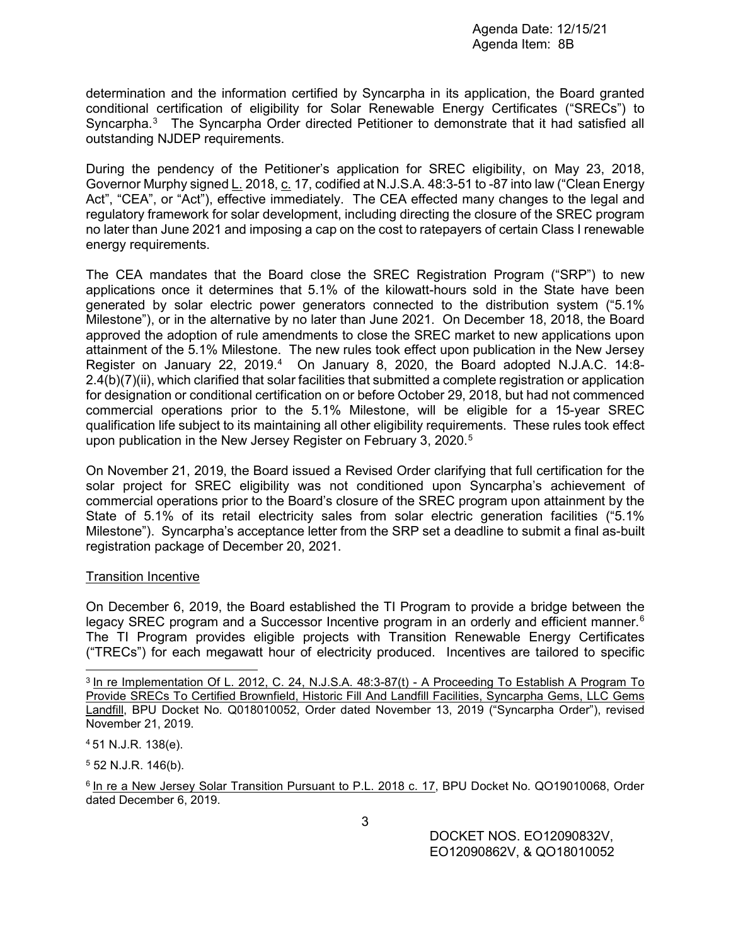determination and the information certified by Syncarpha in its application, the Board granted conditional certification of eligibility for Solar Renewable Energy Certificates ("SRECs") to Syncarpha.<sup>[3](#page-2-0)</sup> The Syncarpha Order directed Petitioner to demonstrate that it had satisfied all outstanding NJDEP requirements.

During the pendency of the Petitioner's application for SREC eligibility, on May 23, 2018, Governor Murphy signed L. 2018, c. 17, codified at N.J.S.A. 48:3-51 to -87 into law ("Clean Energy Act", "CEA", or "Act"), effective immediately. The CEA effected many changes to the legal and regulatory framework for solar development, including directing the closure of the SREC program no later than June 2021 and imposing a cap on the cost to ratepayers of certain Class I renewable energy requirements.

The CEA mandates that the Board close the SREC Registration Program ("SRP") to new applications once it determines that 5.1% of the kilowatt-hours sold in the State have been generated by solar electric power generators connected to the distribution system ("5.1% Milestone"), or in the alternative by no later than June 2021. On December 18, 2018, the Board approved the adoption of rule amendments to close the SREC market to new applications upon attainment of the 5.1% Milestone. The new rules took effect upon publication in the New Jersey Register on January 22, 2019.<sup>[4](#page-2-1)</sup> On January 8, 2020, the Board adopted N.J.A.C. 14:8-2.4(b)(7)(ii), which clarified that solar facilities that submitted a complete registration or application for designation or conditional certification on or before October 29, 2018, but had not commenced commercial operations prior to the 5.1% Milestone, will be eligible for a 15-year SREC qualification life subject to its maintaining all other eligibility requirements. These rules took effect upon publication in the New Jersey Register on February 3, 2020.<sup>[5](#page-2-2)</sup>

On November 21, 2019, the Board issued a Revised Order clarifying that full certification for the solar project for SREC eligibility was not conditioned upon Syncarpha's achievement of commercial operations prior to the Board's closure of the SREC program upon attainment by the State of 5.1% of its retail electricity sales from solar electric generation facilities ("5.1% Milestone"). Syncarpha's acceptance letter from the SRP set a deadline to submit a final as-built registration package of December 20, 2021.

### Transition Incentive

On December 6, 2019, the Board established the TI Program to provide a bridge between the legacy SREC program and a Successor Incentive program in an orderly and efficient manner.<sup>[6](#page-2-3)</sup> The TI Program provides eligible projects with Transition Renewable Energy Certificates ("TRECs") for each megawatt hour of electricity produced. Incentives are tailored to specific

 $\overline{a}$ 

<span id="page-2-2"></span> $5$  52 N.J.R. 146(b).

<span id="page-2-3"></span><sup>6</sup> In re a New Jersey Solar Transition Pursuant to P.L. 2018 c. 17, BPU Docket No. QO19010068, Order dated December 6, 2019.

DOCKET NOS. EO12090832V, EO12090862V, & QO18010052

<span id="page-2-0"></span><sup>3</sup> In re Implementation Of L. 2012, C. 24, N.J.S.A. 48:3-87(t) - A Proceeding To Establish A Program To Provide SRECs To Certified Brownfield, Historic Fill And Landfill Facilities, Syncarpha Gems, LLC Gems Landfill, BPU Docket No. Q018010052, Order dated November 13, 2019 ("Syncarpha Order"), revised November 21, 2019.

<span id="page-2-1"></span><sup>4</sup> 51 N.J.R. 138(e).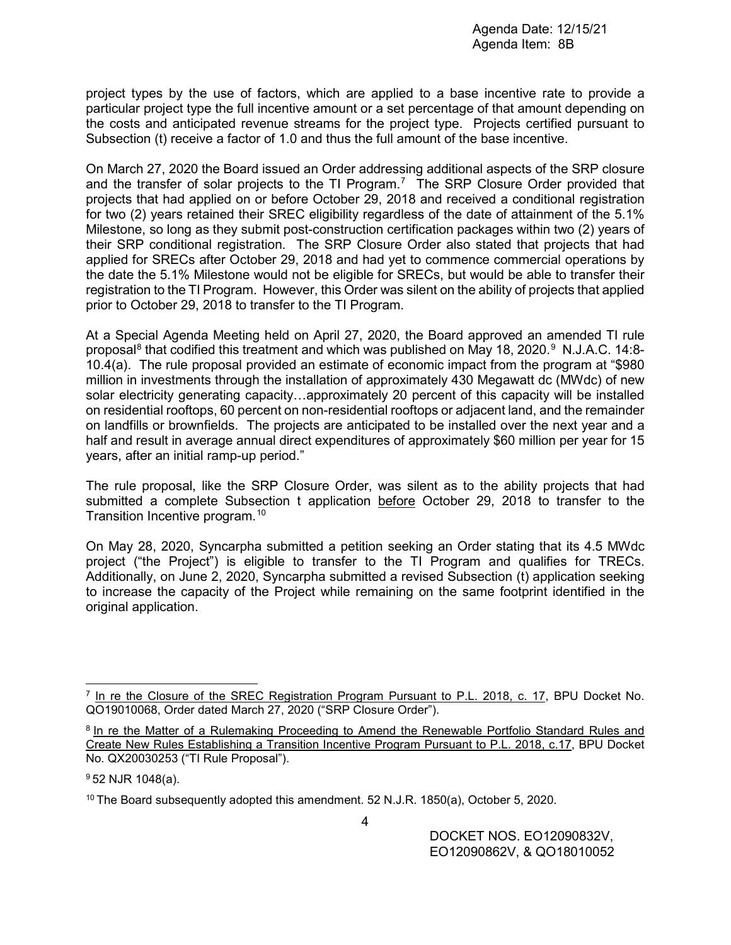project types by the use of factors, which are applied to a base incentive rate to provide a particular project type the full incentive amount or a set percentage of that amount depending on the costs and anticipated revenue streams for the project type. Projects certified pursuant to Subsection (t) receive a factor of 1.0 and thus the full amount of the base incentive.

On March 27, 2020 the Board issued an Order addressing additional aspects of the SRP closure and the transfer of solar projects to the TI Program.<sup>[7](#page-3-0)</sup> The SRP Closure Order provided that projects that had applied on or before October 29, 2018 and received a conditional registration for two (2) years retained their SREC eligibility regardless of the date of attainment of the 5.1% Milestone, so long as they submit post-construction certification packages within two (2) years of their SRP conditional registration. The SRP Closure Order also stated that projects that had applied for SRECs after October 29, 2018 and had yet to commence commercial operations by the date the 5.1% Milestone would not be eligible for SRECs, but would be able to transfer their registration to the TI Program. However, this Order was silent on the ability of projects that applied prior to October 29, 2018 to transfer to the TI Program.

At a Special Agenda Meeting held on April 27, 2020, the Board approved an amended TI rule proposal $^8$  $^8$  that codified this treatment and which was published on May 18, 2020. $^9\,$  $^9\,$  $^9\,$  N.J.A.C. 14:8-10.4(a). The rule proposal provided an estimate of economic impact from the program at "\$980 million in investments through the installation of approximately 430 Megawatt dc (MWdc) of new solar electricity generating capacity…approximately 20 percent of this capacity will be installed on residential rooftops, 60 percent on non-residential rooftops or adjacent land, and the remainder on landfills or brownfields. The projects are anticipated to be installed over the next year and a half and result in average annual direct expenditures of approximately \$60 million per year for 15 years, after an initial ramp-up period."

The rule proposal, like the SRP Closure Order, was silent as to the ability projects that had submitted a complete Subsection t application before October 29, 2018 to transfer to the Transition Incentive program.<sup>[10](#page-3-3)</sup>

On May 28, 2020, Syncarpha submitted a petition seeking an Order stating that its 4.5 MWdc project ("the Project") is eligible to transfer to the TI Program and qualifies for TRECs. Additionally, on June 2, 2020, Syncarpha submitted a revised Subsection (t) application seeking to increase the capacity of the Project while remaining on the same footprint identified in the original application.

 $\overline{a}$ 

<span id="page-3-0"></span> $<sup>7</sup>$  In re the Closure of the SREC Registration Program Pursuant to P.L. 2018, c. 17, BPU Docket No.</sup> QO19010068, Order dated March 27, 2020 ("SRP Closure Order").

<span id="page-3-1"></span><sup>8</sup> In re the Matter of a Rulemaking Proceeding to Amend the Renewable Portfolio Standard Rules and Create New Rules Establishing a Transition Incentive Program Pursuant to P.L. 2018, c.17, BPU Docket No. QX20030253 ("TI Rule Proposal").

<span id="page-3-2"></span><sup>9</sup> 52 NJR 1048(a).

<span id="page-3-3"></span><sup>&</sup>lt;sup>10</sup> The Board subsequently adopted this amendment. 52 N.J.R. 1850(a), October 5, 2020.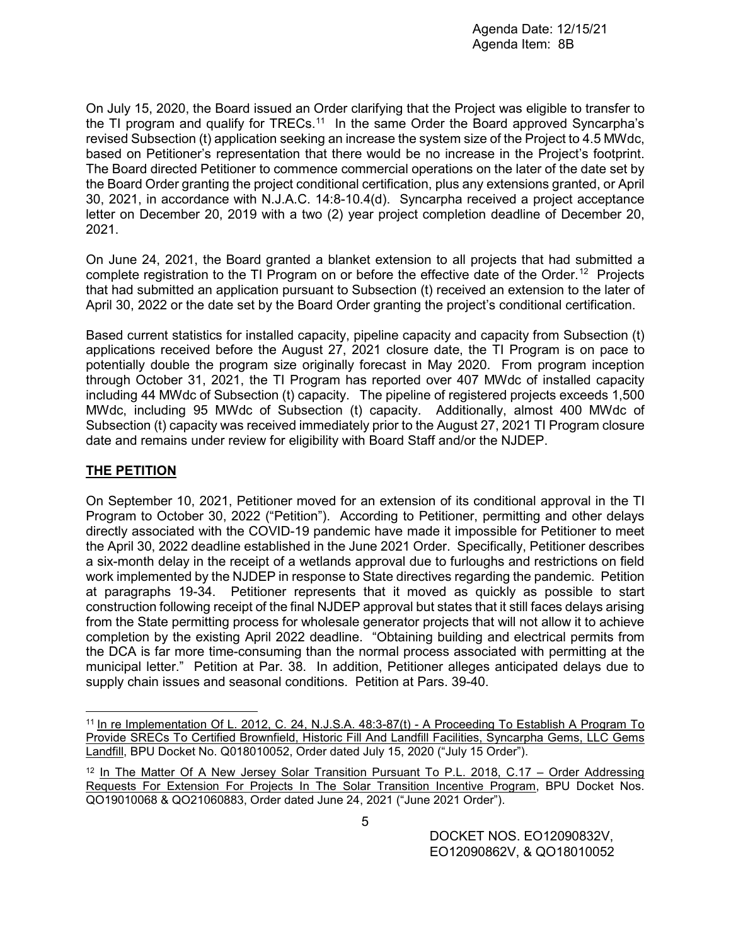On July 15, 2020, the Board issued an Order clarifying that the Project was eligible to transfer to the TI program and qualify for TRECs.<sup>[11](#page-4-0)</sup> In the same Order the Board approved Syncarpha's revised Subsection (t) application seeking an increase the system size of the Project to 4.5 MWdc, based on Petitioner's representation that there would be no increase in the Project's footprint. The Board directed Petitioner to commence commercial operations on the later of the date set by the Board Order granting the project conditional certification, plus any extensions granted, or April 30, 2021, in accordance with N.J.A.C. 14:8-10.4(d). Syncarpha received a project acceptance letter on December 20, 2019 with a two (2) year project completion deadline of December 20, 2021.

On June 24, 2021, the Board granted a blanket extension to all projects that had submitted a complete registration to the TI Program on or before the effective date of the Order.<sup>[12](#page-4-1)</sup> Projects that had submitted an application pursuant to Subsection (t) received an extension to the later of April 30, 2022 or the date set by the Board Order granting the project's conditional certification.

Based current statistics for installed capacity, pipeline capacity and capacity from Subsection (t) applications received before the August 27, 2021 closure date, the TI Program is on pace to potentially double the program size originally forecast in May 2020. From program inception through October 31, 2021, the TI Program has reported over 407 MWdc of installed capacity including 44 MWdc of Subsection (t) capacity. The pipeline of registered projects exceeds 1,500 MWdc, including 95 MWdc of Subsection (t) capacity. Additionally, almost 400 MWdc of Subsection (t) capacity was received immediately prior to the August 27, 2021 TI Program closure date and remains under review for eligibility with Board Staff and/or the NJDEP.

# **THE PETITION**

 $\overline{a}$ 

On September 10, 2021, Petitioner moved for an extension of its conditional approval in the TI Program to October 30, 2022 ("Petition"). According to Petitioner, permitting and other delays directly associated with the COVID-19 pandemic have made it impossible for Petitioner to meet the April 30, 2022 deadline established in the June 2021 Order. Specifically, Petitioner describes a six-month delay in the receipt of a wetlands approval due to furloughs and restrictions on field work implemented by the NJDEP in response to State directives regarding the pandemic. Petition at paragraphs 19-34. Petitioner represents that it moved as quickly as possible to start construction following receipt of the final NJDEP approval but states that it still faces delays arising from the State permitting process for wholesale generator projects that will not allow it to achieve completion by the existing April 2022 deadline. "Obtaining building and electrical permits from the DCA is far more time-consuming than the normal process associated with permitting at the municipal letter." Petition at Par. 38. In addition, Petitioner alleges anticipated delays due to supply chain issues and seasonal conditions. Petition at Pars. 39-40.

<span id="page-4-0"></span><sup>11</sup> In re Implementation Of L. 2012, C. 24, N.J.S.A. 48:3-87(t) - A Proceeding To Establish A Program To Provide SRECs To Certified Brownfield, Historic Fill And Landfill Facilities, Syncarpha Gems, LLC Gems Landfill, BPU Docket No. Q018010052, Order dated July 15, 2020 ("July 15 Order").

<span id="page-4-1"></span><sup>&</sup>lt;sup>12</sup> In The Matter Of A New Jersey Solar Transition Pursuant To P.L. 2018, C.17 – Order Addressing Requests For Extension For Projects In The Solar Transition Incentive Program, BPU Docket Nos. QO19010068 & QO21060883, Order dated June 24, 2021 ("June 2021 Order").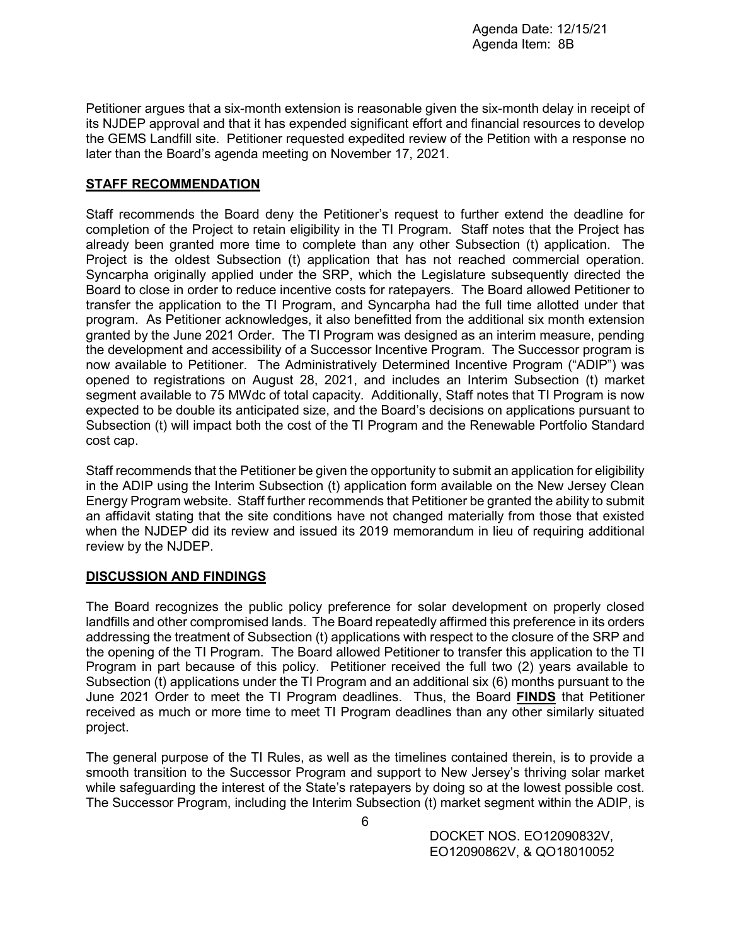Petitioner argues that a six-month extension is reasonable given the six-month delay in receipt of its NJDEP approval and that it has expended significant effort and financial resources to develop the GEMS Landfill site. Petitioner requested expedited review of the Petition with a response no later than the Board's agenda meeting on November 17, 2021.

## **STAFF RECOMMENDATION**

Staff recommends the Board deny the Petitioner's request to further extend the deadline for completion of the Project to retain eligibility in the TI Program. Staff notes that the Project has already been granted more time to complete than any other Subsection (t) application. The Project is the oldest Subsection (t) application that has not reached commercial operation. Syncarpha originally applied under the SRP, which the Legislature subsequently directed the Board to close in order to reduce incentive costs for ratepayers. The Board allowed Petitioner to transfer the application to the TI Program, and Syncarpha had the full time allotted under that program. As Petitioner acknowledges, it also benefitted from the additional six month extension granted by the June 2021 Order. The TI Program was designed as an interim measure, pending the development and accessibility of a Successor Incentive Program. The Successor program is now available to Petitioner. The Administratively Determined Incentive Program ("ADIP") was opened to registrations on August 28, 2021, and includes an Interim Subsection (t) market segment available to 75 MWdc of total capacity. Additionally, Staff notes that TI Program is now expected to be double its anticipated size, and the Board's decisions on applications pursuant to Subsection (t) will impact both the cost of the TI Program and the Renewable Portfolio Standard cost cap.

Staff recommends that the Petitioner be given the opportunity to submit an application for eligibility in the ADIP using the Interim Subsection (t) application form available on the New Jersey Clean Energy Program website. Staff further recommends that Petitioner be granted the ability to submit an affidavit stating that the site conditions have not changed materially from those that existed when the NJDEP did its review and issued its 2019 memorandum in lieu of requiring additional review by the NJDEP.

### **DISCUSSION AND FINDINGS**

The Board recognizes the public policy preference for solar development on properly closed landfills and other compromised lands. The Board repeatedly affirmed this preference in its orders addressing the treatment of Subsection (t) applications with respect to the closure of the SRP and the opening of the TI Program. The Board allowed Petitioner to transfer this application to the TI Program in part because of this policy. Petitioner received the full two (2) years available to Subsection (t) applications under the TI Program and an additional six (6) months pursuant to the June 2021 Order to meet the TI Program deadlines. Thus, the Board **FINDS** that Petitioner received as much or more time to meet TI Program deadlines than any other similarly situated project.

The general purpose of the TI Rules, as well as the timelines contained therein, is to provide a smooth transition to the Successor Program and support to New Jersey's thriving solar market while safeguarding the interest of the State's ratepayers by doing so at the lowest possible cost. The Successor Program, including the Interim Subsection (t) market segment within the ADIP, is

> DOCKET NOS. EO12090832V, EO12090862V, & QO18010052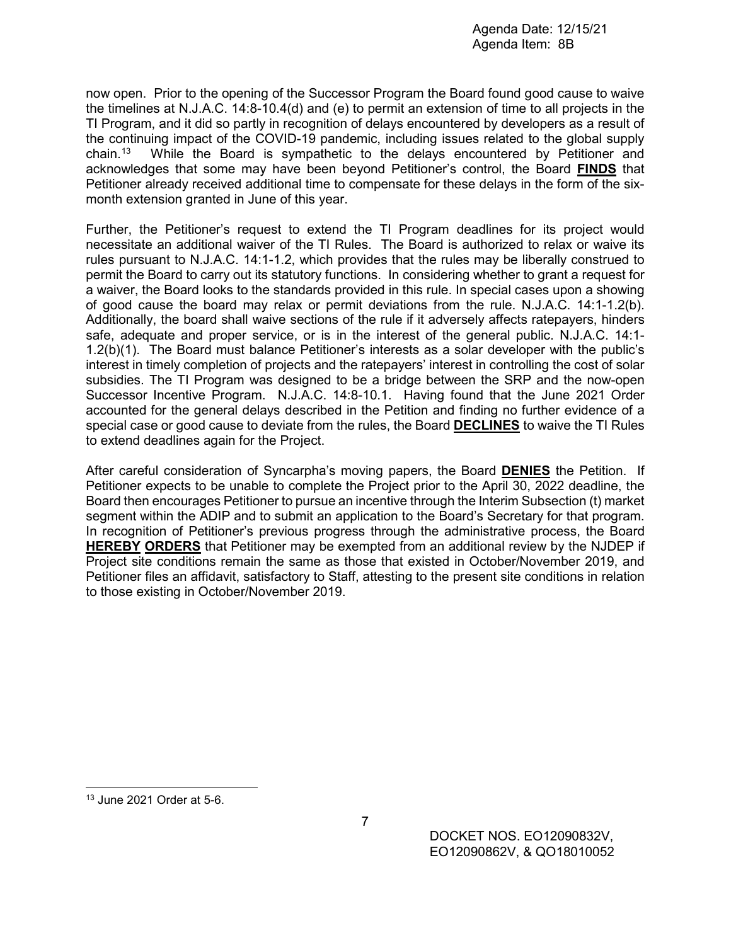now open. Prior to the opening of the Successor Program the Board found good cause to waive the timelines at N.J.A.C. 14:8-10.4(d) and (e) to permit an extension of time to all projects in the TI Program, and it did so partly in recognition of delays encountered by developers as a result of the continuing impact of the COVID-19 pandemic, including issues related to the global supply chain.[13](#page-6-0) While the Board is sympathetic to the delays encountered by Petitioner and acknowledges that some may have been beyond Petitioner's control, the Board **FINDS** that Petitioner already received additional time to compensate for these delays in the form of the sixmonth extension granted in June of this year.

Further, the Petitioner's request to extend the TI Program deadlines for its project would necessitate an additional waiver of the TI Rules. The Board is authorized to relax or waive its rules pursuant to N.J.A.C. 14:1-1.2, which provides that the rules may be liberally construed to permit the Board to carry out its statutory functions. In considering whether to grant a request for a waiver, the Board looks to the standards provided in this rule. In special cases upon a showing of good cause the board may relax or permit deviations from the rule. N.J.A.C. 14:1-1.2(b). Additionally, the board shall waive sections of the rule if it adversely affects ratepayers, hinders safe, adequate and proper service, or is in the interest of the general public. N.J.A.C. 14:1- 1.2(b)(1). The Board must balance Petitioner's interests as a solar developer with the public's interest in timely completion of projects and the ratepayers' interest in controlling the cost of solar subsidies. The TI Program was designed to be a bridge between the SRP and the now-open Successor Incentive Program. N.J.A.C. 14:8-10.1. Having found that the June 2021 Order accounted for the general delays described in the Petition and finding no further evidence of a special case or good cause to deviate from the rules, the Board **DECLINES** to waive the TI Rules to extend deadlines again for the Project.

After careful consideration of Syncarpha's moving papers, the Board **DENIES** the Petition. If Petitioner expects to be unable to complete the Project prior to the April 30, 2022 deadline, the Board then encourages Petitioner to pursue an incentive through the Interim Subsection (t) market segment within the ADIP and to submit an application to the Board's Secretary for that program. In recognition of Petitioner's previous progress through the administrative process, the Board **HEREBY ORDERS** that Petitioner may be exempted from an additional review by the NJDEP if Project site conditions remain the same as those that existed in October/November 2019, and Petitioner files an affidavit, satisfactory to Staff, attesting to the present site conditions in relation to those existing in October/November 2019.

<span id="page-6-0"></span> $\overline{a}$ <sup>13</sup> June 2021 Order at 5-6.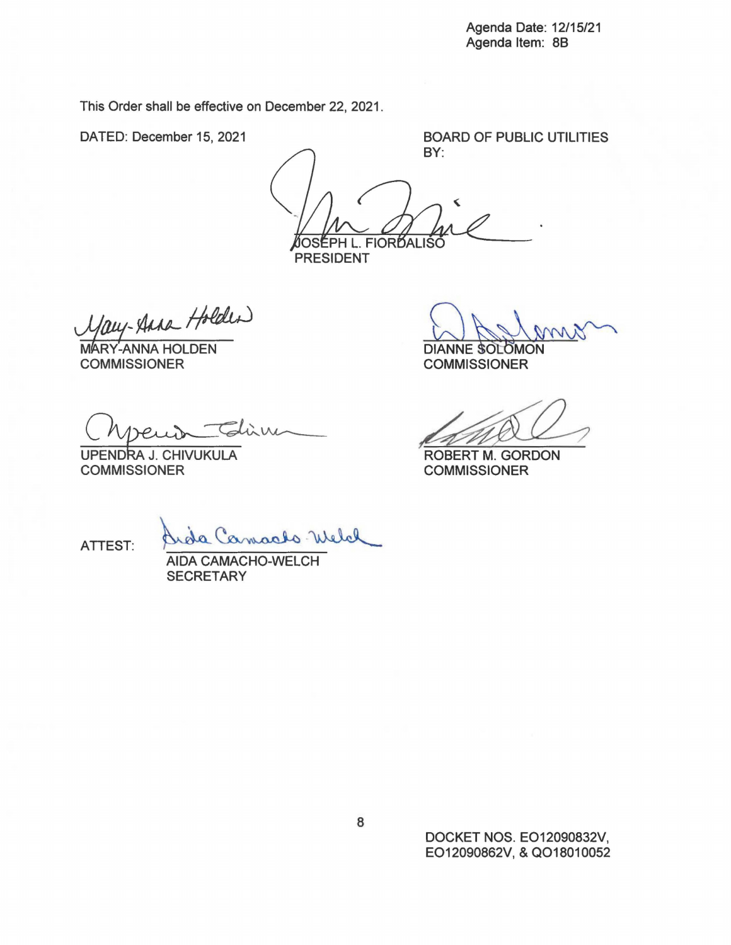This Order shall be effective on December 22, 2021.

DATED: December 15, 2021

BOARD OF PUBLIC UTILITIES BY:

ÌOSÉPH L. FIORĎALIŠ **PRESIDENT** 

1/aug- Anna Holder)

COMMISSIONER

 $-$ Glüne

UPENDRA J. CHIVUKULA COMMISSIONER

DIANNE SOLOMON

COMMISSIONER

DIANNE SOLOMON<br>COMMISSIONER<br>ROBERT M. GORDON<br>COMMISSIONER

COMMISSIONER

ATTEST: Qu'ida Camarles Melal

**SECRETARY** 

DOCKET NOS. EO12090832V, EO12090862V, & QO18010052